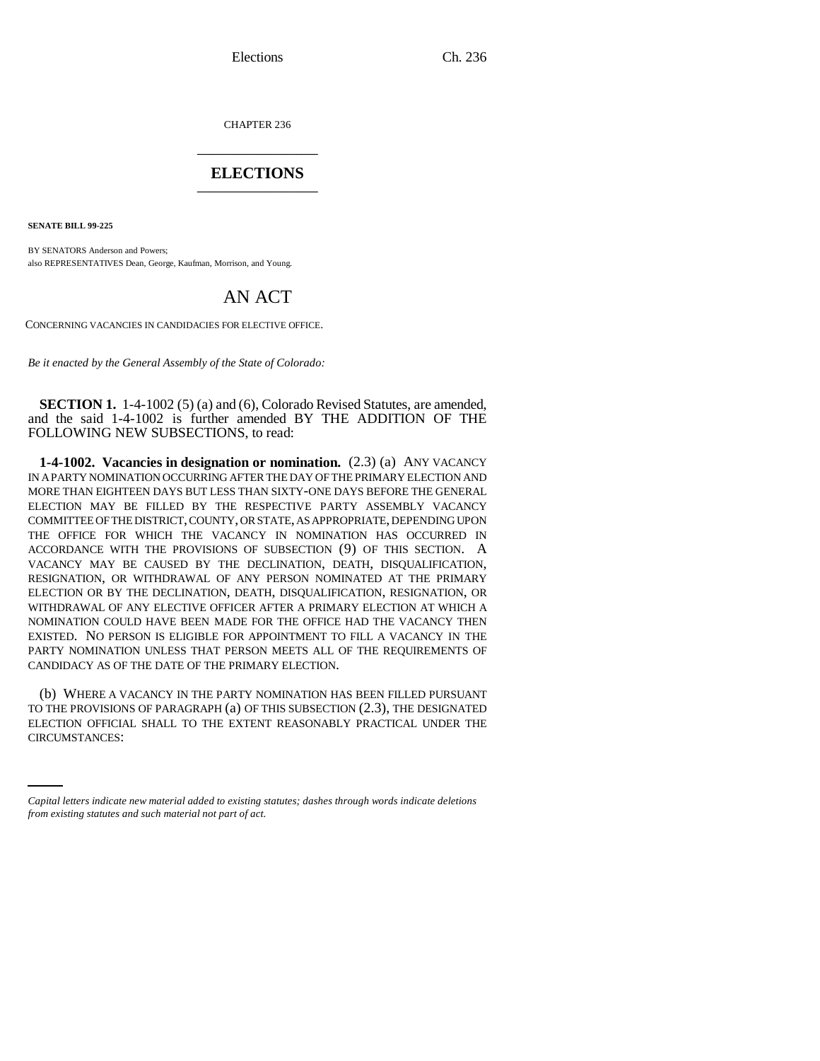CHAPTER 236 \_\_\_\_\_\_\_\_\_\_\_\_\_\_\_

# **ELECTIONS** \_\_\_\_\_\_\_\_\_\_\_\_\_\_\_

**SENATE BILL 99-225** 

BY SENATORS Anderson and Powers; also REPRESENTATIVES Dean, George, Kaufman, Morrison, and Young.

# AN ACT

CONCERNING VACANCIES IN CANDIDACIES FOR ELECTIVE OFFICE.

*Be it enacted by the General Assembly of the State of Colorado:*

**SECTION 1.** 1-4-1002 (5) (a) and (6), Colorado Revised Statutes, are amended, and the said 1-4-1002 is further amended BY THE ADDITION OF THE FOLLOWING NEW SUBSECTIONS, to read:

**1-4-1002. Vacancies in designation or nomination.** (2.3) (a) ANY VACANCY IN A PARTY NOMINATION OCCURRING AFTER THE DAY OF THE PRIMARY ELECTION AND MORE THAN EIGHTEEN DAYS BUT LESS THAN SIXTY-ONE DAYS BEFORE THE GENERAL ELECTION MAY BE FILLED BY THE RESPECTIVE PARTY ASSEMBLY VACANCY COMMITTEE OF THE DISTRICT, COUNTY, OR STATE, AS APPROPRIATE, DEPENDING UPON THE OFFICE FOR WHICH THE VACANCY IN NOMINATION HAS OCCURRED IN ACCORDANCE WITH THE PROVISIONS OF SUBSECTION (9) OF THIS SECTION. A VACANCY MAY BE CAUSED BY THE DECLINATION, DEATH, DISQUALIFICATION, RESIGNATION, OR WITHDRAWAL OF ANY PERSON NOMINATED AT THE PRIMARY ELECTION OR BY THE DECLINATION, DEATH, DISQUALIFICATION, RESIGNATION, OR WITHDRAWAL OF ANY ELECTIVE OFFICER AFTER A PRIMARY ELECTION AT WHICH A NOMINATION COULD HAVE BEEN MADE FOR THE OFFICE HAD THE VACANCY THEN EXISTED. NO PERSON IS ELIGIBLE FOR APPOINTMENT TO FILL A VACANCY IN THE PARTY NOMINATION UNLESS THAT PERSON MEETS ALL OF THE REQUIREMENTS OF CANDIDACY AS OF THE DATE OF THE PRIMARY ELECTION.

TO THE PROVISIONS OF PARAGRAPH (a) OF THIS SUBSECTION (2.5), THE DESIGNATED<br>ELECTION OFFICIAL SHALL TO THE EXTENT REASONABLY PRACTICAL UNDER THE (b) WHERE A VACANCY IN THE PARTY NOMINATION HAS BEEN FILLED PURSUANT TO THE PROVISIONS OF PARAGRAPH (a) OF THIS SUBSECTION (2.3), THE DESIGNATED CIRCUMSTANCES:

*Capital letters indicate new material added to existing statutes; dashes through words indicate deletions from existing statutes and such material not part of act.*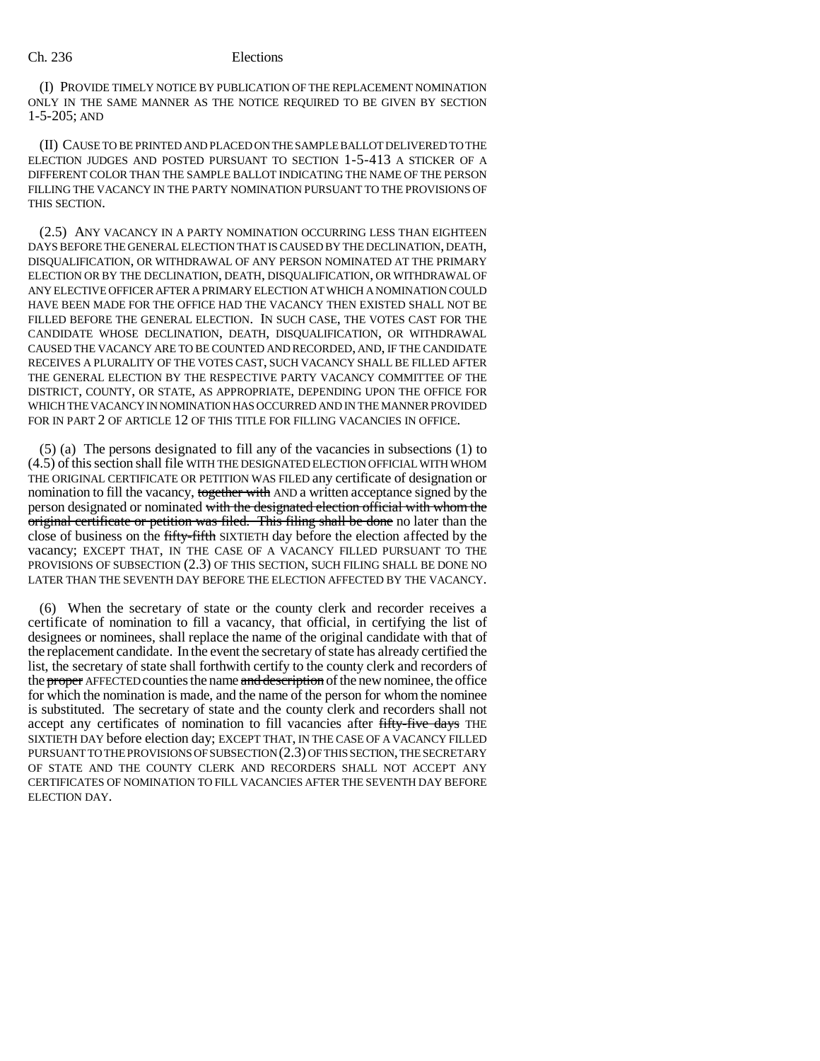(I) PROVIDE TIMELY NOTICE BY PUBLICATION OF THE REPLACEMENT NOMINATION ONLY IN THE SAME MANNER AS THE NOTICE REQUIRED TO BE GIVEN BY SECTION 1-5-205; AND

(II) CAUSE TO BE PRINTED AND PLACED ON THE SAMPLE BALLOT DELIVERED TO THE ELECTION JUDGES AND POSTED PURSUANT TO SECTION 1-5-413 A STICKER OF A DIFFERENT COLOR THAN THE SAMPLE BALLOT INDICATING THE NAME OF THE PERSON FILLING THE VACANCY IN THE PARTY NOMINATION PURSUANT TO THE PROVISIONS OF THIS SECTION.

(2.5) ANY VACANCY IN A PARTY NOMINATION OCCURRING LESS THAN EIGHTEEN DAYS BEFORE THE GENERAL ELECTION THAT IS CAUSED BY THE DECLINATION, DEATH, DISQUALIFICATION, OR WITHDRAWAL OF ANY PERSON NOMINATED AT THE PRIMARY ELECTION OR BY THE DECLINATION, DEATH, DISQUALIFICATION, OR WITHDRAWAL OF ANY ELECTIVE OFFICER AFTER A PRIMARY ELECTION AT WHICH A NOMINATION COULD HAVE BEEN MADE FOR THE OFFICE HAD THE VACANCY THEN EXISTED SHALL NOT BE FILLED BEFORE THE GENERAL ELECTION. IN SUCH CASE, THE VOTES CAST FOR THE CANDIDATE WHOSE DECLINATION, DEATH, DISQUALIFICATION, OR WITHDRAWAL CAUSED THE VACANCY ARE TO BE COUNTED AND RECORDED, AND, IF THE CANDIDATE RECEIVES A PLURALITY OF THE VOTES CAST, SUCH VACANCY SHALL BE FILLED AFTER THE GENERAL ELECTION BY THE RESPECTIVE PARTY VACANCY COMMITTEE OF THE DISTRICT, COUNTY, OR STATE, AS APPROPRIATE, DEPENDING UPON THE OFFICE FOR WHICH THE VACANCY IN NOMINATION HAS OCCURRED AND IN THE MANNER PROVIDED FOR IN PART 2 OF ARTICLE 12 OF THIS TITLE FOR FILLING VACANCIES IN OFFICE.

(5) (a) The persons designated to fill any of the vacancies in subsections (1) to (4.5) of this section shall file WITH THE DESIGNATED ELECTION OFFICIAL WITH WHOM THE ORIGINAL CERTIFICATE OR PETITION WAS FILED any certificate of designation or nomination to fill the vacancy, together with AND a written acceptance signed by the person designated or nominated with the designated election official with whom the original certificate or petition was filed. This filing shall be done no later than the close of business on the fifty-fifth SIXTIETH day before the election affected by the vacancy; EXCEPT THAT, IN THE CASE OF A VACANCY FILLED PURSUANT TO THE PROVISIONS OF SUBSECTION (2.3) OF THIS SECTION, SUCH FILING SHALL BE DONE NO LATER THAN THE SEVENTH DAY BEFORE THE ELECTION AFFECTED BY THE VACANCY.

(6) When the secretary of state or the county clerk and recorder receives a certificate of nomination to fill a vacancy, that official, in certifying the list of designees or nominees, shall replace the name of the original candidate with that of the replacement candidate. In the event the secretary of state has already certified the list, the secretary of state shall forthwith certify to the county clerk and recorders of the proper AFFECTED counties the name and description of the new nominee, the office for which the nomination is made, and the name of the person for whom the nominee is substituted. The secretary of state and the county clerk and recorders shall not accept any certificates of nomination to fill vacancies after fifty-five days THE SIXTIETH DAY before election day; EXCEPT THAT, IN THE CASE OF A VACANCY FILLED PURSUANT TO THE PROVISIONS OF SUBSECTION (2.3) OF THIS SECTION, THE SECRETARY OF STATE AND THE COUNTY CLERK AND RECORDERS SHALL NOT ACCEPT ANY CERTIFICATES OF NOMINATION TO FILL VACANCIES AFTER THE SEVENTH DAY BEFORE ELECTION DAY.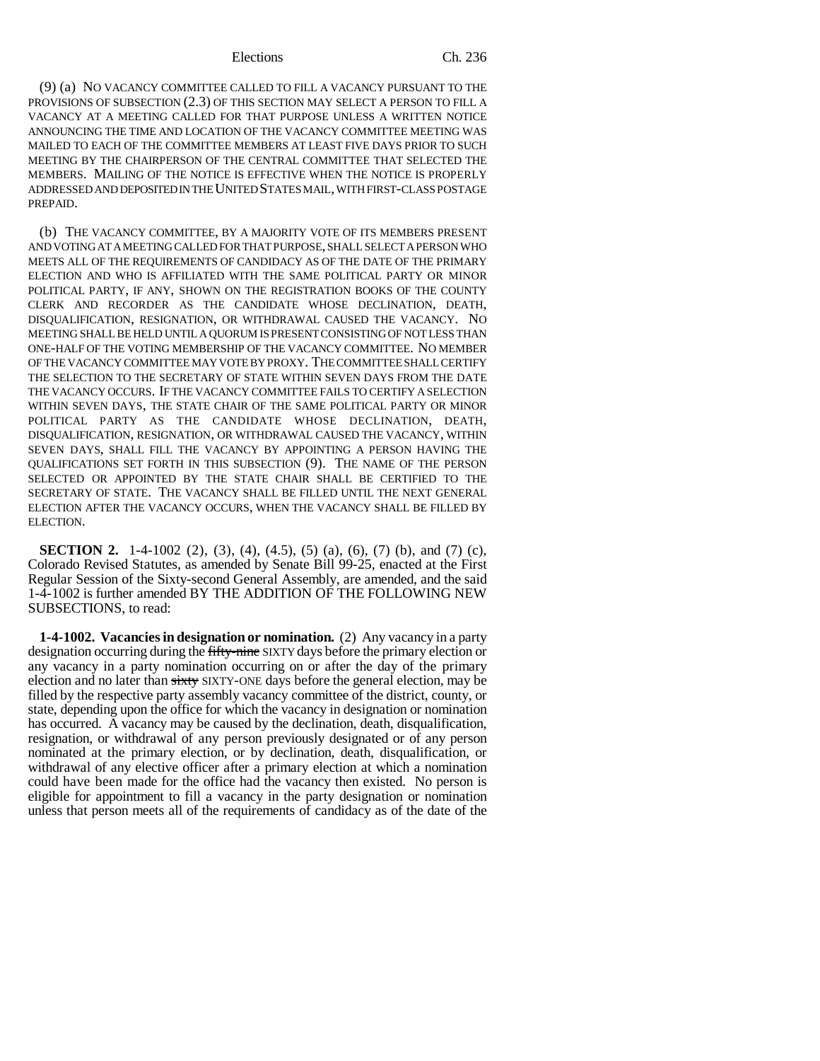(9) (a) NO VACANCY COMMITTEE CALLED TO FILL A VACANCY PURSUANT TO THE PROVISIONS OF SUBSECTION (2.3) OF THIS SECTION MAY SELECT A PERSON TO FILL A VACANCY AT A MEETING CALLED FOR THAT PURPOSE UNLESS A WRITTEN NOTICE ANNOUNCING THE TIME AND LOCATION OF THE VACANCY COMMITTEE MEETING WAS MAILED TO EACH OF THE COMMITTEE MEMBERS AT LEAST FIVE DAYS PRIOR TO SUCH MEETING BY THE CHAIRPERSON OF THE CENTRAL COMMITTEE THAT SELECTED THE MEMBERS. MAILING OF THE NOTICE IS EFFECTIVE WHEN THE NOTICE IS PROPERLY ADDRESSED AND DEPOSITED IN THE UNITED STATES MAIL, WITH FIRST-CLASS POSTAGE PREPAID.

(b) THE VACANCY COMMITTEE, BY A MAJORITY VOTE OF ITS MEMBERS PRESENT AND VOTING AT A MEETING CALLED FOR THAT PURPOSE, SHALL SELECT A PERSON WHO MEETS ALL OF THE REQUIREMENTS OF CANDIDACY AS OF THE DATE OF THE PRIMARY ELECTION AND WHO IS AFFILIATED WITH THE SAME POLITICAL PARTY OR MINOR POLITICAL PARTY, IF ANY, SHOWN ON THE REGISTRATION BOOKS OF THE COUNTY CLERK AND RECORDER AS THE CANDIDATE WHOSE DECLINATION, DEATH, DISQUALIFICATION, RESIGNATION, OR WITHDRAWAL CAUSED THE VACANCY. NO MEETING SHALL BE HELD UNTIL A QUORUM IS PRESENT CONSISTING OF NOT LESS THAN ONE-HALF OF THE VOTING MEMBERSHIP OF THE VACANCY COMMITTEE. NO MEMBER OF THE VACANCY COMMITTEE MAY VOTE BY PROXY. THE COMMITTEE SHALL CERTIFY THE SELECTION TO THE SECRETARY OF STATE WITHIN SEVEN DAYS FROM THE DATE THE VACANCY OCCURS. IF THE VACANCY COMMITTEE FAILS TO CERTIFY A SELECTION WITHIN SEVEN DAYS, THE STATE CHAIR OF THE SAME POLITICAL PARTY OR MINOR POLITICAL PARTY AS THE CANDIDATE WHOSE DECLINATION, DEATH, DISQUALIFICATION, RESIGNATION, OR WITHDRAWAL CAUSED THE VACANCY, WITHIN SEVEN DAYS, SHALL FILL THE VACANCY BY APPOINTING A PERSON HAVING THE QUALIFICATIONS SET FORTH IN THIS SUBSECTION (9). THE NAME OF THE PERSON SELECTED OR APPOINTED BY THE STATE CHAIR SHALL BE CERTIFIED TO THE SECRETARY OF STATE. THE VACANCY SHALL BE FILLED UNTIL THE NEXT GENERAL ELECTION AFTER THE VACANCY OCCURS, WHEN THE VACANCY SHALL BE FILLED BY ELECTION.

**SECTION 2.** 1-4-1002 (2), (3), (4), (4.5), (5) (a), (6), (7) (b), and (7) (c), Colorado Revised Statutes, as amended by Senate Bill 99-25, enacted at the First Regular Session of the Sixty-second General Assembly, are amended, and the said 1-4-1002 is further amended BY THE ADDITION OF THE FOLLOWING NEW SUBSECTIONS, to read:

**1-4-1002. Vacancies in designation or nomination.** (2) Any vacancy in a party designation occurring during the fifty-nine SIXTY days before the primary election or any vacancy in a party nomination occurring on or after the day of the primary election and no later than sixty SIXTY-ONE days before the general election, may be filled by the respective party assembly vacancy committee of the district, county, or state, depending upon the office for which the vacancy in designation or nomination has occurred. A vacancy may be caused by the declination, death, disqualification, resignation, or withdrawal of any person previously designated or of any person nominated at the primary election, or by declination, death, disqualification, or withdrawal of any elective officer after a primary election at which a nomination could have been made for the office had the vacancy then existed. No person is eligible for appointment to fill a vacancy in the party designation or nomination unless that person meets all of the requirements of candidacy as of the date of the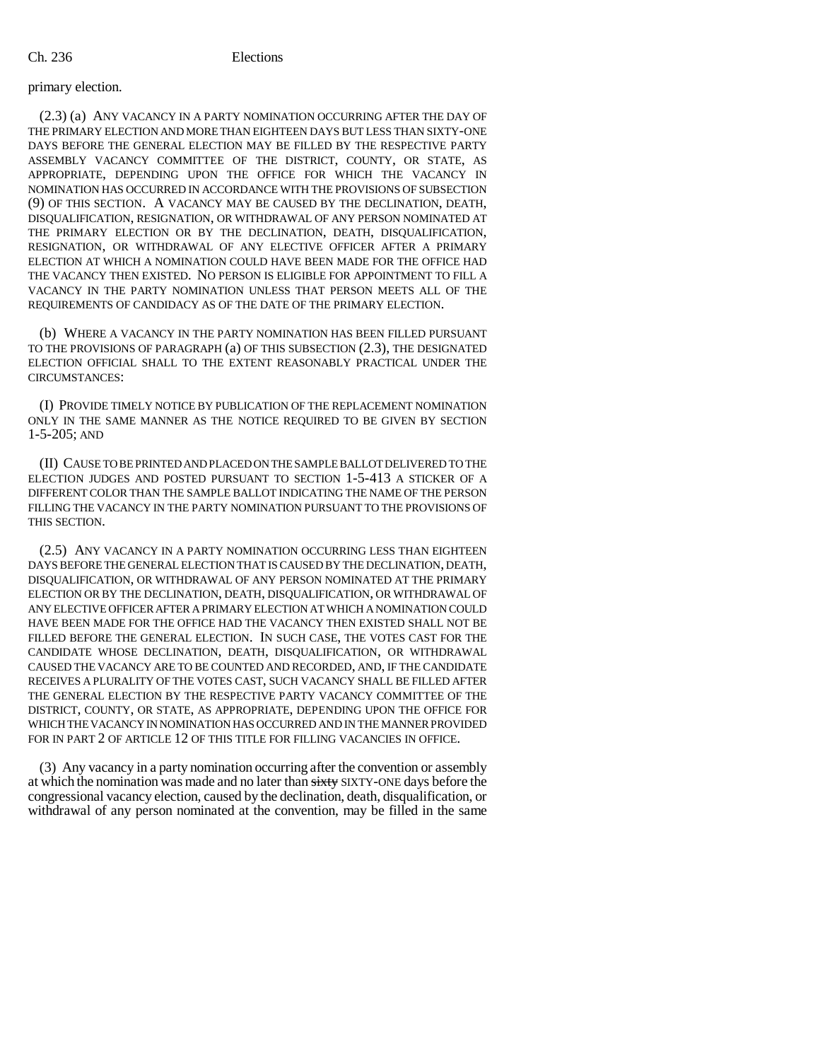### primary election.

(2.3) (a) ANY VACANCY IN A PARTY NOMINATION OCCURRING AFTER THE DAY OF THE PRIMARY ELECTION AND MORE THAN EIGHTEEN DAYS BUT LESS THAN SIXTY-ONE DAYS BEFORE THE GENERAL ELECTION MAY BE FILLED BY THE RESPECTIVE PARTY ASSEMBLY VACANCY COMMITTEE OF THE DISTRICT, COUNTY, OR STATE, AS APPROPRIATE, DEPENDING UPON THE OFFICE FOR WHICH THE VACANCY IN NOMINATION HAS OCCURRED IN ACCORDANCE WITH THE PROVISIONS OF SUBSECTION (9) OF THIS SECTION. A VACANCY MAY BE CAUSED BY THE DECLINATION, DEATH, DISQUALIFICATION, RESIGNATION, OR WITHDRAWAL OF ANY PERSON NOMINATED AT THE PRIMARY ELECTION OR BY THE DECLINATION, DEATH, DISQUALIFICATION, RESIGNATION, OR WITHDRAWAL OF ANY ELECTIVE OFFICER AFTER A PRIMARY ELECTION AT WHICH A NOMINATION COULD HAVE BEEN MADE FOR THE OFFICE HAD THE VACANCY THEN EXISTED. NO PERSON IS ELIGIBLE FOR APPOINTMENT TO FILL A VACANCY IN THE PARTY NOMINATION UNLESS THAT PERSON MEETS ALL OF THE REQUIREMENTS OF CANDIDACY AS OF THE DATE OF THE PRIMARY ELECTION.

(b) WHERE A VACANCY IN THE PARTY NOMINATION HAS BEEN FILLED PURSUANT TO THE PROVISIONS OF PARAGRAPH (a) OF THIS SUBSECTION (2.3), THE DESIGNATED ELECTION OFFICIAL SHALL TO THE EXTENT REASONABLY PRACTICAL UNDER THE CIRCUMSTANCES:

(I) PROVIDE TIMELY NOTICE BY PUBLICATION OF THE REPLACEMENT NOMINATION ONLY IN THE SAME MANNER AS THE NOTICE REQUIRED TO BE GIVEN BY SECTION 1-5-205; AND

(II) CAUSE TO BE PRINTED AND PLACED ON THE SAMPLE BALLOT DELIVERED TO THE ELECTION JUDGES AND POSTED PURSUANT TO SECTION 1-5-413 A STICKER OF A DIFFERENT COLOR THAN THE SAMPLE BALLOT INDICATING THE NAME OF THE PERSON FILLING THE VACANCY IN THE PARTY NOMINATION PURSUANT TO THE PROVISIONS OF THIS SECTION.

(2.5) ANY VACANCY IN A PARTY NOMINATION OCCURRING LESS THAN EIGHTEEN DAYS BEFORE THE GENERAL ELECTION THAT IS CAUSED BY THE DECLINATION, DEATH, DISQUALIFICATION, OR WITHDRAWAL OF ANY PERSON NOMINATED AT THE PRIMARY ELECTION OR BY THE DECLINATION, DEATH, DISQUALIFICATION, OR WITHDRAWAL OF ANY ELECTIVE OFFICER AFTER A PRIMARY ELECTION AT WHICH A NOMINATION COULD HAVE BEEN MADE FOR THE OFFICE HAD THE VACANCY THEN EXISTED SHALL NOT BE FILLED BEFORE THE GENERAL ELECTION. IN SUCH CASE, THE VOTES CAST FOR THE CANDIDATE WHOSE DECLINATION, DEATH, DISQUALIFICATION, OR WITHDRAWAL CAUSED THE VACANCY ARE TO BE COUNTED AND RECORDED, AND, IF THE CANDIDATE RECEIVES A PLURALITY OF THE VOTES CAST, SUCH VACANCY SHALL BE FILLED AFTER THE GENERAL ELECTION BY THE RESPECTIVE PARTY VACANCY COMMITTEE OF THE DISTRICT, COUNTY, OR STATE, AS APPROPRIATE, DEPENDING UPON THE OFFICE FOR WHICH THE VACANCY IN NOMINATION HAS OCCURRED AND IN THE MANNER PROVIDED FOR IN PART 2 OF ARTICLE 12 OF THIS TITLE FOR FILLING VACANCIES IN OFFICE.

(3) Any vacancy in a party nomination occurring after the convention or assembly at which the nomination was made and no later than sixty SIXTY-ONE days before the congressional vacancy election, caused by the declination, death, disqualification, or withdrawal of any person nominated at the convention, may be filled in the same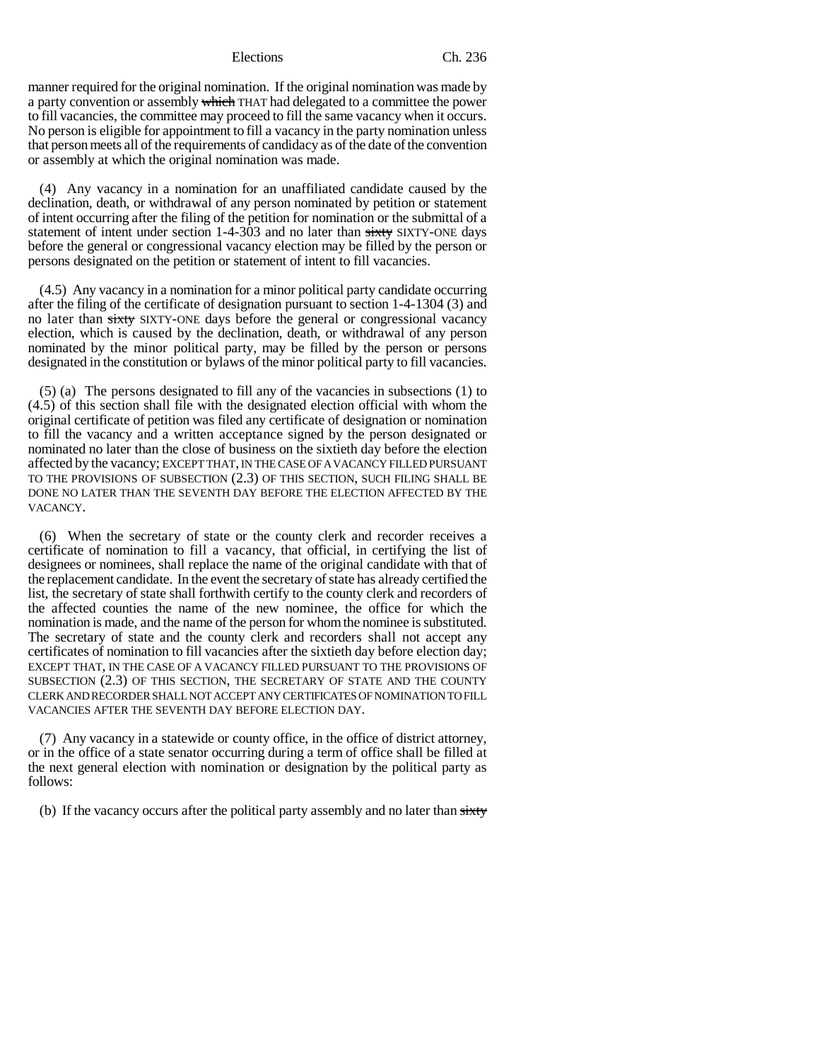manner required for the original nomination. If the original nomination was made by a party convention or assembly which THAT had delegated to a committee the power to fill vacancies, the committee may proceed to fill the same vacancy when it occurs. No person is eligible for appointment to fill a vacancy in the party nomination unless that person meets all of the requirements of candidacy as of the date of the convention or assembly at which the original nomination was made.

(4) Any vacancy in a nomination for an unaffiliated candidate caused by the declination, death, or withdrawal of any person nominated by petition or statement of intent occurring after the filing of the petition for nomination or the submittal of a statement of intent under section 1-4-303 and no later than sixty SIXTY-ONE days before the general or congressional vacancy election may be filled by the person or persons designated on the petition or statement of intent to fill vacancies.

(4.5) Any vacancy in a nomination for a minor political party candidate occurring after the filing of the certificate of designation pursuant to section 1-4-1304 (3) and no later than sixty SIXTY-ONE days before the general or congressional vacancy election, which is caused by the declination, death, or withdrawal of any person nominated by the minor political party, may be filled by the person or persons designated in the constitution or bylaws of the minor political party to fill vacancies.

(5) (a) The persons designated to fill any of the vacancies in subsections (1) to (4.5) of this section shall file with the designated election official with whom the original certificate of petition was filed any certificate of designation or nomination to fill the vacancy and a written acceptance signed by the person designated or nominated no later than the close of business on the sixtieth day before the election affected by the vacancy; EXCEPT THAT, IN THE CASE OF A VACANCY FILLED PURSUANT TO THE PROVISIONS OF SUBSECTION (2.3) OF THIS SECTION, SUCH FILING SHALL BE DONE NO LATER THAN THE SEVENTH DAY BEFORE THE ELECTION AFFECTED BY THE VACANCY.

(6) When the secretary of state or the county clerk and recorder receives a certificate of nomination to fill a vacancy, that official, in certifying the list of designees or nominees, shall replace the name of the original candidate with that of the replacement candidate. In the event the secretary of state has already certified the list, the secretary of state shall forthwith certify to the county clerk and recorders of the affected counties the name of the new nominee, the office for which the nomination is made, and the name of the person for whom the nominee is substituted. The secretary of state and the county clerk and recorders shall not accept any certificates of nomination to fill vacancies after the sixtieth day before election day; EXCEPT THAT, IN THE CASE OF A VACANCY FILLED PURSUANT TO THE PROVISIONS OF SUBSECTION (2.3) OF THIS SECTION, THE SECRETARY OF STATE AND THE COUNTY CLERK AND RECORDER SHALL NOT ACCEPT ANY CERTIFICATES OF NOMINATION TO FILL VACANCIES AFTER THE SEVENTH DAY BEFORE ELECTION DAY.

(7) Any vacancy in a statewide or county office, in the office of district attorney, or in the office of a state senator occurring during a term of office shall be filled at the next general election with nomination or designation by the political party as follows:

(b) If the vacancy occurs after the political party assembly and no later than  $s$ ixty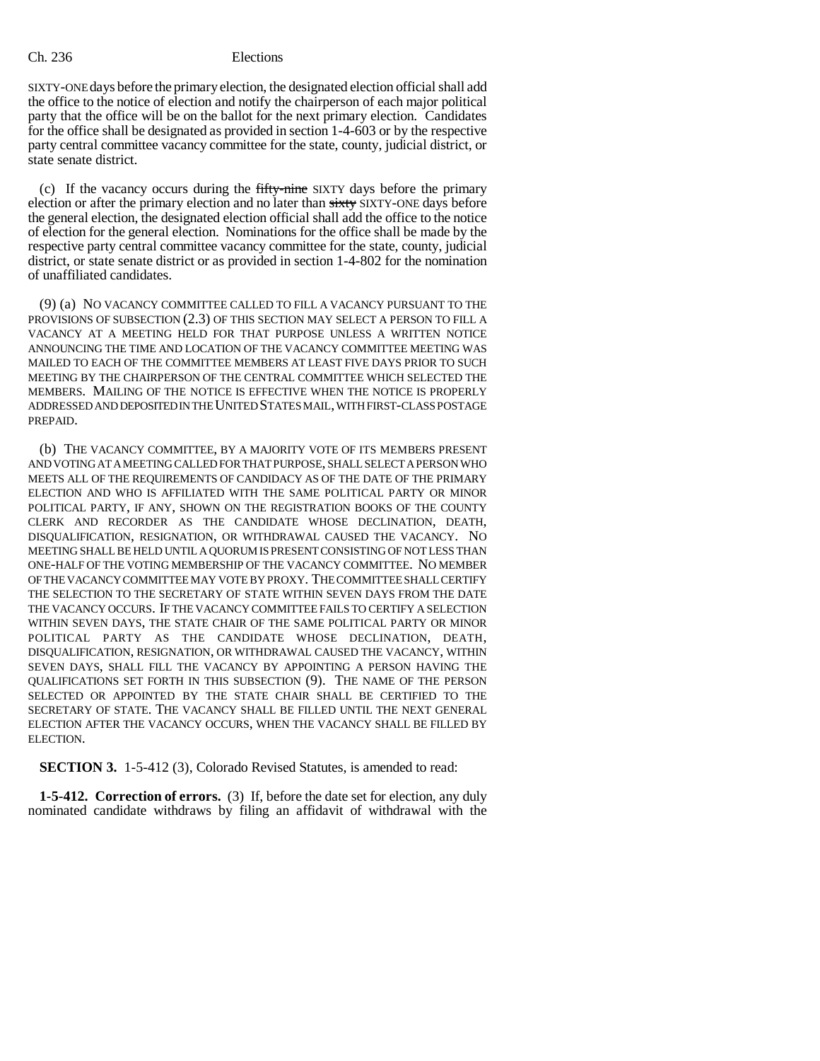### Ch. 236 Elections

SIXTY-ONE days before the primary election, the designated election official shall add the office to the notice of election and notify the chairperson of each major political party that the office will be on the ballot for the next primary election. Candidates for the office shall be designated as provided in section 1-4-603 or by the respective party central committee vacancy committee for the state, county, judicial district, or state senate district.

(c) If the vacancy occurs during the fifty-nine SIXTY days before the primary election or after the primary election and no later than sixty SIXTY-ONE days before the general election, the designated election official shall add the office to the notice of election for the general election. Nominations for the office shall be made by the respective party central committee vacancy committee for the state, county, judicial district, or state senate district or as provided in section 1-4-802 for the nomination of unaffiliated candidates.

(9) (a) NO VACANCY COMMITTEE CALLED TO FILL A VACANCY PURSUANT TO THE PROVISIONS OF SUBSECTION (2.3) OF THIS SECTION MAY SELECT A PERSON TO FILL A VACANCY AT A MEETING HELD FOR THAT PURPOSE UNLESS A WRITTEN NOTICE ANNOUNCING THE TIME AND LOCATION OF THE VACANCY COMMITTEE MEETING WAS MAILED TO EACH OF THE COMMITTEE MEMBERS AT LEAST FIVE DAYS PRIOR TO SUCH MEETING BY THE CHAIRPERSON OF THE CENTRAL COMMITTEE WHICH SELECTED THE MEMBERS. MAILING OF THE NOTICE IS EFFECTIVE WHEN THE NOTICE IS PROPERLY ADDRESSED AND DEPOSITED IN THE UNITED STATES MAIL, WITH FIRST-CLASS POSTAGE PREPAID.

(b) THE VACANCY COMMITTEE, BY A MAJORITY VOTE OF ITS MEMBERS PRESENT AND VOTING AT A MEETING CALLED FOR THAT PURPOSE, SHALL SELECT A PERSON WHO MEETS ALL OF THE REQUIREMENTS OF CANDIDACY AS OF THE DATE OF THE PRIMARY ELECTION AND WHO IS AFFILIATED WITH THE SAME POLITICAL PARTY OR MINOR POLITICAL PARTY, IF ANY, SHOWN ON THE REGISTRATION BOOKS OF THE COUNTY CLERK AND RECORDER AS THE CANDIDATE WHOSE DECLINATION, DEATH, DISQUALIFICATION, RESIGNATION, OR WITHDRAWAL CAUSED THE VACANCY. NO MEETING SHALL BE HELD UNTIL A QUORUM IS PRESENT CONSISTING OF NOT LESS THAN ONE-HALF OF THE VOTING MEMBERSHIP OF THE VACANCY COMMITTEE. NO MEMBER OF THE VACANCY COMMITTEE MAY VOTE BY PROXY. THE COMMITTEE SHALL CERTIFY THE SELECTION TO THE SECRETARY OF STATE WITHIN SEVEN DAYS FROM THE DATE THE VACANCY OCCURS. IF THE VACANCY COMMITTEE FAILS TO CERTIFY A SELECTION WITHIN SEVEN DAYS, THE STATE CHAIR OF THE SAME POLITICAL PARTY OR MINOR POLITICAL PARTY AS THE CANDIDATE WHOSE DECLINATION, DEATH, DISQUALIFICATION, RESIGNATION, OR WITHDRAWAL CAUSED THE VACANCY, WITHIN SEVEN DAYS, SHALL FILL THE VACANCY BY APPOINTING A PERSON HAVING THE QUALIFICATIONS SET FORTH IN THIS SUBSECTION (9). THE NAME OF THE PERSON SELECTED OR APPOINTED BY THE STATE CHAIR SHALL BE CERTIFIED TO THE SECRETARY OF STATE. THE VACANCY SHALL BE FILLED UNTIL THE NEXT GENERAL ELECTION AFTER THE VACANCY OCCURS, WHEN THE VACANCY SHALL BE FILLED BY ELECTION.

**SECTION 3.** 1-5-412 (3), Colorado Revised Statutes, is amended to read:

**1-5-412. Correction of errors.** (3) If, before the date set for election, any duly nominated candidate withdraws by filing an affidavit of withdrawal with the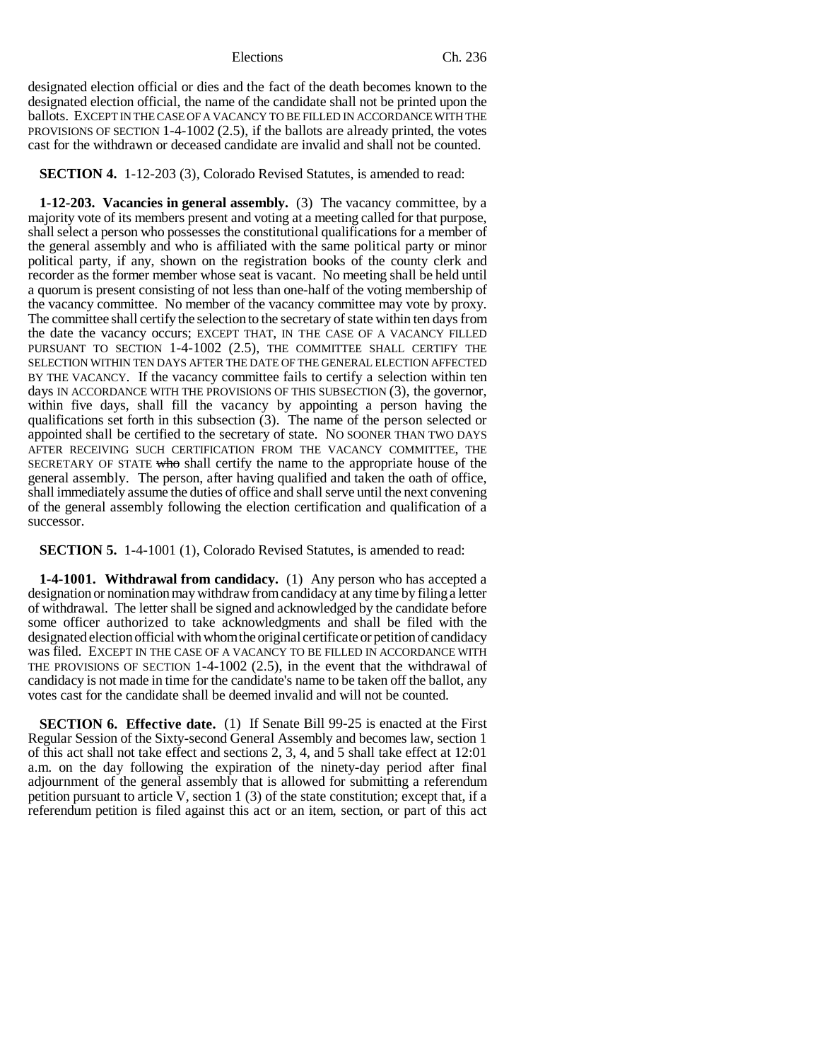designated election official or dies and the fact of the death becomes known to the designated election official, the name of the candidate shall not be printed upon the ballots. EXCEPT IN THE CASE OF A VACANCY TO BE FILLED IN ACCORDANCE WITH THE PROVISIONS OF SECTION 1-4-1002 (2.5), if the ballots are already printed, the votes cast for the withdrawn or deceased candidate are invalid and shall not be counted.

**SECTION 4.** 1-12-203 (3), Colorado Revised Statutes, is amended to read:

**1-12-203. Vacancies in general assembly.** (3) The vacancy committee, by a majority vote of its members present and voting at a meeting called for that purpose, shall select a person who possesses the constitutional qualifications for a member of the general assembly and who is affiliated with the same political party or minor political party, if any, shown on the registration books of the county clerk and recorder as the former member whose seat is vacant. No meeting shall be held until a quorum is present consisting of not less than one-half of the voting membership of the vacancy committee. No member of the vacancy committee may vote by proxy. The committee shall certify the selection to the secretary of state within ten days from the date the vacancy occurs; EXCEPT THAT, IN THE CASE OF A VACANCY FILLED PURSUANT TO SECTION 1-4-1002 (2.5), THE COMMITTEE SHALL CERTIFY THE SELECTION WITHIN TEN DAYS AFTER THE DATE OF THE GENERAL ELECTION AFFECTED BY THE VACANCY. If the vacancy committee fails to certify a selection within ten days IN ACCORDANCE WITH THE PROVISIONS OF THIS SUBSECTION (3), the governor, within five days, shall fill the vacancy by appointing a person having the qualifications set forth in this subsection (3). The name of the person selected or appointed shall be certified to the secretary of state. NO SOONER THAN TWO DAYS AFTER RECEIVING SUCH CERTIFICATION FROM THE VACANCY COMMITTEE, THE SECRETARY OF STATE who shall certify the name to the appropriate house of the general assembly. The person, after having qualified and taken the oath of office, shall immediately assume the duties of office and shall serve until the next convening of the general assembly following the election certification and qualification of a successor.

**SECTION 5.** 1-4-1001 (1), Colorado Revised Statutes, is amended to read:

**1-4-1001. Withdrawal from candidacy.** (1) Any person who has accepted a designation or nomination may withdraw from candidacy at any time by filing a letter of withdrawal. The letter shall be signed and acknowledged by the candidate before some officer authorized to take acknowledgments and shall be filed with the designated election official with whom the original certificate or petition of candidacy was filed. EXCEPT IN THE CASE OF A VACANCY TO BE FILLED IN ACCORDANCE WITH THE PROVISIONS OF SECTION 1-4-1002 (2.5), in the event that the withdrawal of candidacy is not made in time for the candidate's name to be taken off the ballot, any votes cast for the candidate shall be deemed invalid and will not be counted.

**SECTION 6. Effective date.** (1) If Senate Bill 99-25 is enacted at the First Regular Session of the Sixty-second General Assembly and becomes law, section 1 of this act shall not take effect and sections 2, 3, 4, and 5 shall take effect at 12:01 a.m. on the day following the expiration of the ninety-day period after final adjournment of the general assembly that is allowed for submitting a referendum petition pursuant to article V, section 1 (3) of the state constitution; except that, if a referendum petition is filed against this act or an item, section, or part of this act